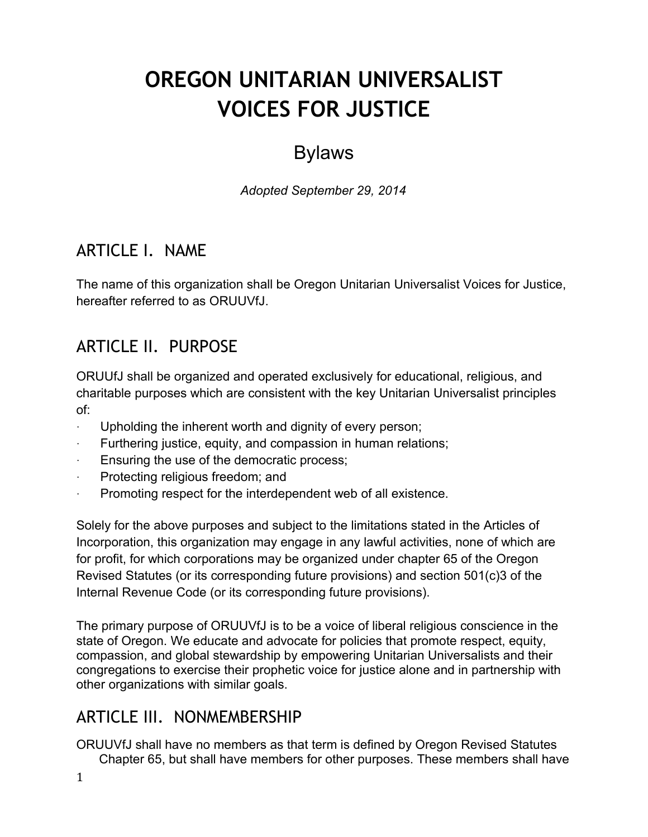# **OREGON UNITARIAN UNIVERSALIST VOICES FOR JUSTICE**

# Bylaws

*Adopted September 29, 2014*

## ARTICLE I. NAME

The name of this organization shall be Oregon Unitarian Universalist Voices for Justice, hereafter referred to as ORUUVfJ.

### ARTICLE II. PURPOSE

ORUUfJ shall be organized and operated exclusively for educational, religious, and charitable purposes which are consistent with the key Unitarian Universalist principles of:

- Upholding the inherent worth and dignity of every person;
- · Furthering justice, equity, and compassion in human relations;
- Ensuring the use of the democratic process;
- · Protecting religious freedom; and
- · Promoting respect for the interdependent web of all existence.

Solely for the above purposes and subject to the limitations stated in the Articles of Incorporation, this organization may engage in any lawful activities, none of which are for profit, for which corporations may be organized under chapter 65 of the Oregon Revised Statutes (or its corresponding future provisions) and section 501(c)3 of the Internal Revenue Code (or its corresponding future provisions).

The primary purpose of ORUUVfJ is to be a voice of liberal religious conscience in the state of Oregon. We educate and advocate for policies that promote respect, equity, compassion, and global stewardship by empowering Unitarian Universalists and their congregations to exercise their prophetic voice for justice alone and in partnership with other organizations with similar goals.

### ARTICLE III. NONMEMBERSHIP

ORUUVfJ shall have no members as that term is defined by Oregon Revised Statutes Chapter 65, but shall have members for other purposes. These members shall have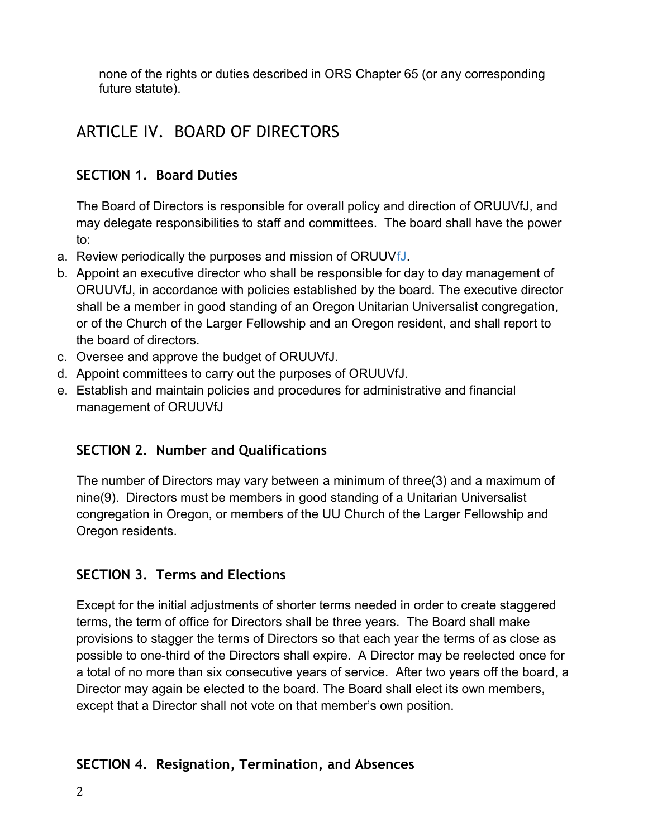none of the rights or duties described in ORS Chapter 65 (or any corresponding future statute).

# ARTICLE IV. BOARD OF DIRECTORS

### **SECTION 1. Board Duties**

The Board of Directors is responsible for overall policy and direction of ORUUVfJ, and may delegate responsibilities to staff and committees. The board shall have the power to:

- a. Review periodically the purposes and mission of ORUUVfJ.
- b. Appoint an executive director who shall be responsible for day to day management of ORUUVfJ, in accordance with policies established by the board. The executive director shall be a member in good standing of an Oregon Unitarian Universalist congregation, or of the Church of the Larger Fellowship and an Oregon resident, and shall report to the board of directors.
- c. Oversee and approve the budget of ORUUVfJ.
- d. Appoint committees to carry out the purposes of ORUUVfJ.
- e. Establish and maintain policies and procedures for administrative and financial management of ORUUVfJ

### **SECTION 2. Number and Qualifications**

The number of Directors may vary between a minimum of three(3) and a maximum of nine(9). Directors must be members in good standing of a Unitarian Universalist congregation in Oregon, or members of the UU Church of the Larger Fellowship and Oregon residents.

### **SECTION 3. Terms and Elections**

Except for the initial adjustments of shorter terms needed in order to create staggered terms, the term of office for Directors shall be three years. The Board shall make provisions to stagger the terms of Directors so that each year the terms of as close as possible to one-third of the Directors shall expire. A Director may be reelected once for a total of no more than six consecutive years of service. After two years off the board, a Director may again be elected to the board. The Board shall elect its own members, except that a Director shall not vote on that member's own position.

### **SECTION 4. Resignation, Termination, and Absences**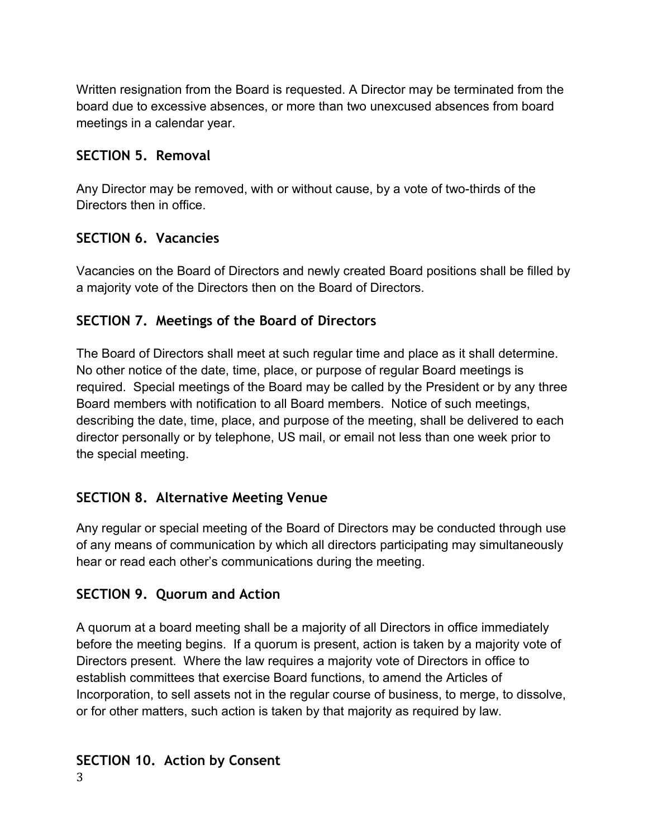Written resignation from the Board is requested. A Director may be terminated from the board due to excessive absences, or more than two unexcused absences from board meetings in a calendar year.

### **SECTION 5. Removal**

Any Director may be removed, with or without cause, by a vote of two-thirds of the Directors then in office.

### **SECTION 6. Vacancies**

Vacancies on the Board of Directors and newly created Board positions shall be filled by a majority vote of the Directors then on the Board of Directors.

### **SECTION 7. Meetings of the Board of Directors**

The Board of Directors shall meet at such regular time and place as it shall determine. No other notice of the date, time, place, or purpose of regular Board meetings is required. Special meetings of the Board may be called by the President or by any three Board members with notification to all Board members. Notice of such meetings, describing the date, time, place, and purpose of the meeting, shall be delivered to each director personally or by telephone, US mail, or email not less than one week prior to the special meeting.

### **SECTION 8. Alternative Meeting Venue**

Any regular or special meeting of the Board of Directors may be conducted through use of any means of communication by which all directors participating may simultaneously hear or read each other's communications during the meeting.

### **SECTION 9. Quorum and Action**

A quorum at a board meeting shall be a majority of all Directors in office immediately before the meeting begins. If a quorum is present, action is taken by a majority vote of Directors present. Where the law requires a majority vote of Directors in office to establish committees that exercise Board functions, to amend the Articles of Incorporation, to sell assets not in the regular course of business, to merge, to dissolve, or for other matters, such action is taken by that majority as required by law.

### **SECTION 10. Action by Consent**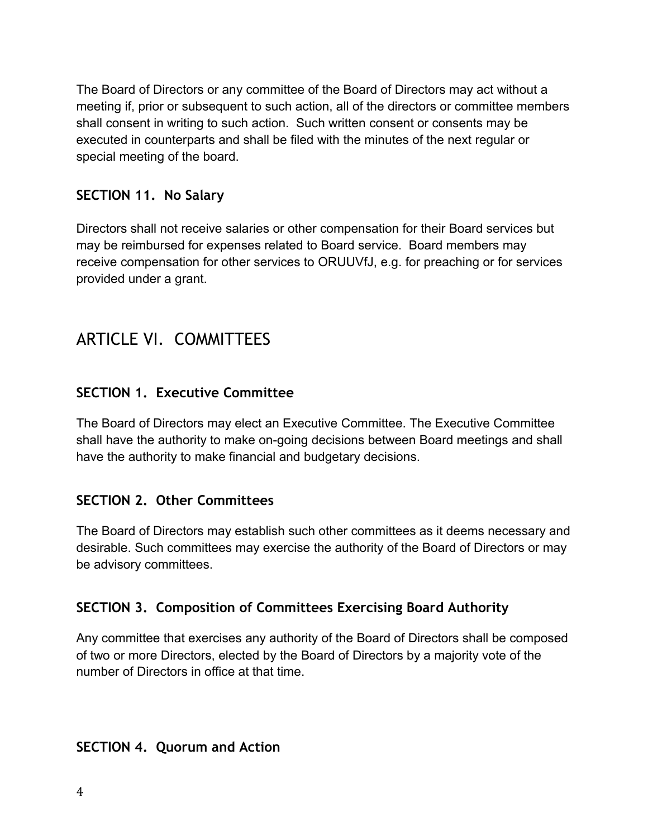The Board of Directors or any committee of the Board of Directors may act without a meeting if, prior or subsequent to such action, all of the directors or committee members shall consent in writing to such action. Such written consent or consents may be executed in counterparts and shall be filed with the minutes of the next regular or special meeting of the board.

### **SECTION 11. No Salary**

Directors shall not receive salaries or other compensation for their Board services but may be reimbursed for expenses related to Board service. Board members may receive compensation for other services to ORUUVfJ, e.g. for preaching or for services provided under a grant.

# ARTICLE VI. COMMITTEES

### **SECTION 1. Executive Committee**

The Board of Directors may elect an Executive Committee. The Executive Committee shall have the authority to make on-going decisions between Board meetings and shall have the authority to make financial and budgetary decisions.

### **SECTION 2. Other Committees**

The Board of Directors may establish such other committees as it deems necessary and desirable. Such committees may exercise the authority of the Board of Directors or may be advisory committees.

### **SECTION 3. Composition of Committees Exercising Board Authority**

Any committee that exercises any authority of the Board of Directors shall be composed of two or more Directors, elected by the Board of Directors by a majority vote of the number of Directors in office at that time.

### **SECTION 4. Quorum and Action**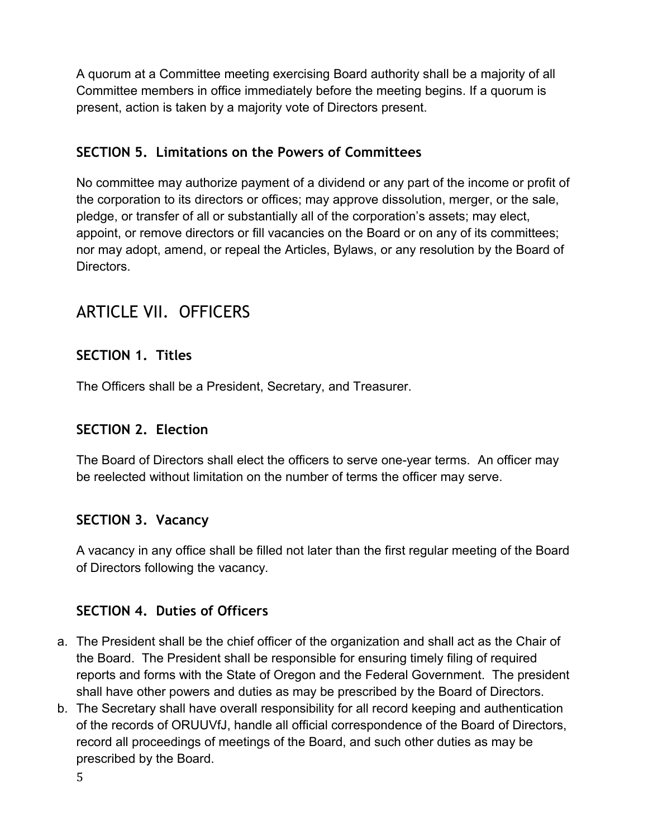A quorum at a Committee meeting exercising Board authority shall be a majority of all Committee members in office immediately before the meeting begins. If a quorum is present, action is taken by a majority vote of Directors present.

### **SECTION 5. Limitations on the Powers of Committees**

No committee may authorize payment of a dividend or any part of the income or profit of the corporation to its directors or offices; may approve dissolution, merger, or the sale, pledge, or transfer of all or substantially all of the corporation's assets; may elect, appoint, or remove directors or fill vacancies on the Board or on any of its committees; nor may adopt, amend, or repeal the Articles, Bylaws, or any resolution by the Board of Directors.

### ARTICLE VII. OFFICERS

### **SECTION 1. Titles**

The Officers shall be a President, Secretary, and Treasurer.

### **SECTION 2. Election**

The Board of Directors shall elect the officers to serve one-year terms. An officer may be reelected without limitation on the number of terms the officer may serve.

### **SECTION 3. Vacancy**

A vacancy in any office shall be filled not later than the first regular meeting of the Board of Directors following the vacancy.

### **SECTION 4. Duties of Officers**

- a. The President shall be the chief officer of the organization and shall act as the Chair of the Board. The President shall be responsible for ensuring timely filing of required reports and forms with the State of Oregon and the Federal Government. The president shall have other powers and duties as may be prescribed by the Board of Directors.
- b. The Secretary shall have overall responsibility for all record keeping and authentication of the records of ORUUVfJ, handle all official correspondence of the Board of Directors, record all proceedings of meetings of the Board, and such other duties as may be prescribed by the Board.